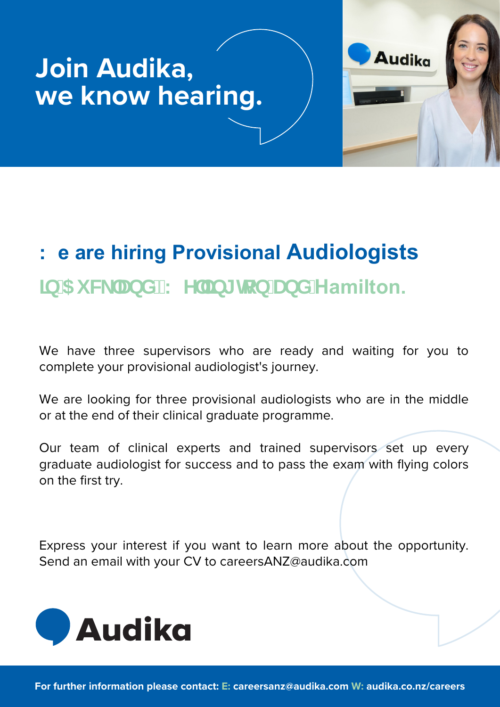## **Join Audika, we know hearing.**



## $\blacksquare$ NFPMI

**to apply for the 2023 Clinical Graduate Program now.**

|              | <b>X</b>     |              |              | C X X |                         |          | x c x x m x | $\mathsf{X}$ $\mathsf{X}$ |
|--------------|--------------|--------------|--------------|-------|-------------------------|----------|-------------|---------------------------|
|              | $t \times$   | $\mathbf{x}$ |              |       |                         | $1 - 12$ | x c x x m   |                           |
| $\mathbf{L}$ | $\mathbf{X}$ |              | $\mathbf{X}$ |       | $\mathbf x$ $\mathbf x$ |          |             |                           |

Express your interest if you want to learn more about the opportunity.

Send an email with your CV to careersANZ@audika.com



**For further information please contact: E: careersanz@audika.com W: audika.co.nz/careers**